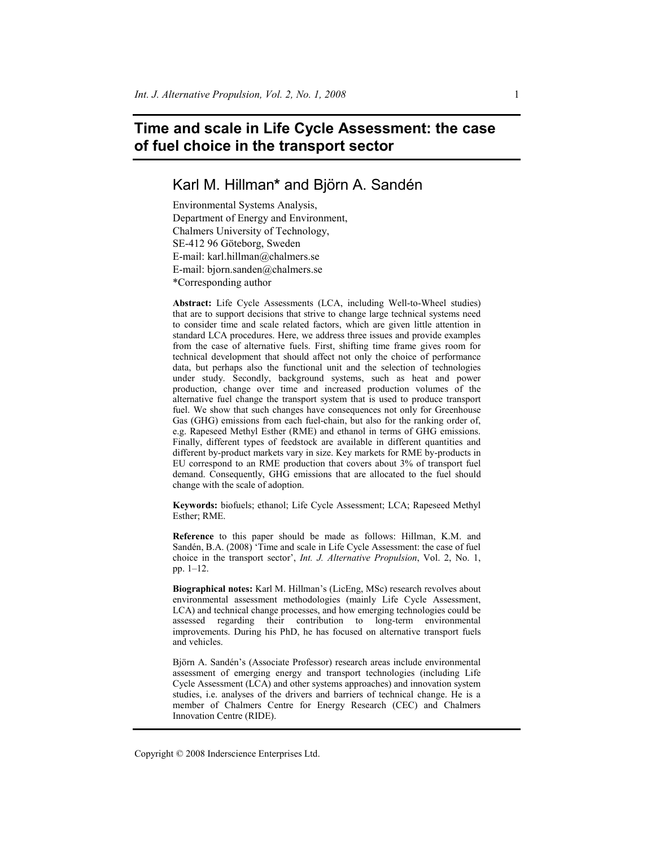# **Time and scale in Life Cycle Assessment: the case of fuel choice in the transport sector**

# Karl M. Hillman**\*** and Björn A. Sandén

Environmental Systems Analysis, Department of Energy and Environment, Chalmers University of Technology, SE-412 96 Göteborg, Sweden E-mail: karl.hillman@chalmers.se E-mail: bjorn.sanden@chalmers.se \*Corresponding author

**Abstract:** Life Cycle Assessments (LCA, including Well-to-Wheel studies) that are to support decisions that strive to change large technical systems need to consider time and scale related factors, which are given little attention in standard LCA procedures. Here, we address three issues and provide examples from the case of alternative fuels. First, shifting time frame gives room for technical development that should affect not only the choice of performance data, but perhaps also the functional unit and the selection of technologies under study. Secondly, background systems, such as heat and power production, change over time and increased production volumes of the alternative fuel change the transport system that is used to produce transport fuel. We show that such changes have consequences not only for Greenhouse Gas (GHG) emissions from each fuel-chain, but also for the ranking order of, e.g. Rapeseed Methyl Esther (RME) and ethanol in terms of GHG emissions. Finally, different types of feedstock are available in different quantities and different by-product markets vary in size. Key markets for RME by-products in EU correspond to an RME production that covers about 3% of transport fuel demand. Consequently, GHG emissions that are allocated to the fuel should change with the scale of adoption.

**Keywords:** biofuels; ethanol; Life Cycle Assessment; LCA; Rapeseed Methyl Esther; RME.

**Reference** to this paper should be made as follows: Hillman, K.M. and Sandén, B.A. (2008) 'Time and scale in Life Cycle Assessment: the case of fuel choice in the transport sector', *Int. J. Alternative Propulsion*, Vol. 2, No. 1, pp. 1–12.

**Biographical notes:** Karl M. Hillman's (LicEng, MSc) research revolves about environmental assessment methodologies (mainly Life Cycle Assessment, LCA) and technical change processes, and how emerging technologies could be assessed regarding their contribution to long-term environmental improvements. During his PhD, he has focused on alternative transport fuels and vehicles.

Björn A. Sandén's (Associate Professor) research areas include environmental assessment of emerging energy and transport technologies (including Life Cycle Assessment (LCA) and other systems approaches) and innovation system studies, i.e. analyses of the drivers and barriers of technical change. He is a member of Chalmers Centre for Energy Research (CEC) and Chalmers Innovation Centre (RIDE).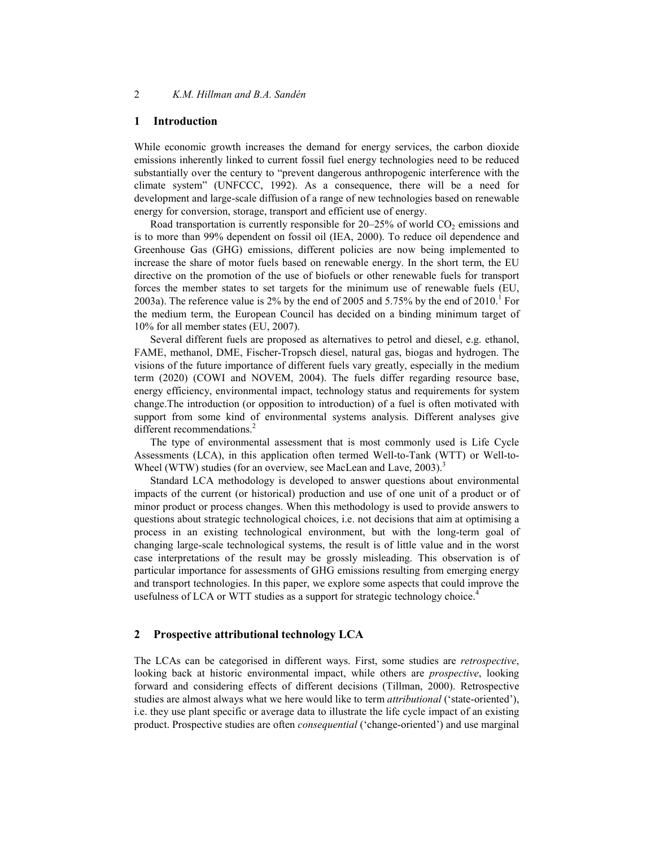#### **1 Introduction**

While economic growth increases the demand for energy services, the carbon dioxide emissions inherently linked to current fossil fuel energy technologies need to be reduced substantially over the century to "prevent dangerous anthropogenic interference with the climate system" (UNFCCC, 1992). As a consequence, there will be a need for development and large-scale diffusion of a range of new technologies based on renewable energy for conversion, storage, transport and efficient use of energy.

Road transportation is currently responsible for  $20-25%$  of world  $CO<sub>2</sub>$  emissions and is to more than 99% dependent on fossil oil (IEA, 2000). To reduce oil dependence and Greenhouse Gas (GHG) emissions, different policies are now being implemented to increase the share of motor fuels based on renewable energy. In the short term, the EU directive on the promotion of the use of biofuels or other renewable fuels for transport forces the member states to set targets for the minimum use of renewable fuels (EU, 2003a). The reference value is 2% by the end of 2005 and 5.75% by the end of 2010.<sup>1</sup> For the medium term, the European Council has decided on a binding minimum target of 10% for all member states (EU, 2007).

Several different fuels are proposed as alternatives to petrol and diesel, e.g. ethanol, FAME, methanol, DME, Fischer-Tropsch diesel, natural gas, biogas and hydrogen. The visions of the future importance of different fuels vary greatly, especially in the medium term (2020) (COWI and NOVEM, 2004). The fuels differ regarding resource base, energy efficiency, environmental impact, technology status and requirements for system change.The introduction (or opposition to introduction) of a fuel is often motivated with support from some kind of environmental systems analysis. Different analyses give different recommendations.<sup>2</sup>

The type of environmental assessment that is most commonly used is Life Cycle Assessments (LCA), in this application often termed Well-to-Tank (WTT) or Well-to-Wheel (WTW) studies (for an overview, see MacLean and Lave,  $2003$ ).<sup>3</sup>

Standard LCA methodology is developed to answer questions about environmental impacts of the current (or historical) production and use of one unit of a product or of minor product or process changes. When this methodology is used to provide answers to questions about strategic technological choices, i.e. not decisions that aim at optimising a process in an existing technological environment, but with the long-term goal of changing large-scale technological systems, the result is of little value and in the worst case interpretations of the result may be grossly misleading. This observation is of particular importance for assessments of GHG emissions resulting from emerging energy and transport technologies. In this paper, we explore some aspects that could improve the usefulness of LCA or WTT studies as a support for strategic technology choice.<sup>4</sup>

## **2 Prospective attributional technology LCA**

The LCAs can be categorised in different ways. First, some studies are *retrospective*, looking back at historic environmental impact, while others are *prospective*, looking forward and considering effects of different decisions (Tillman, 2000). Retrospective studies are almost always what we here would like to term *attributional* ('state-oriented'), i.e. they use plant specific or average data to illustrate the life cycle impact of an existing product. Prospective studies are often *consequential* ('change-oriented') and use marginal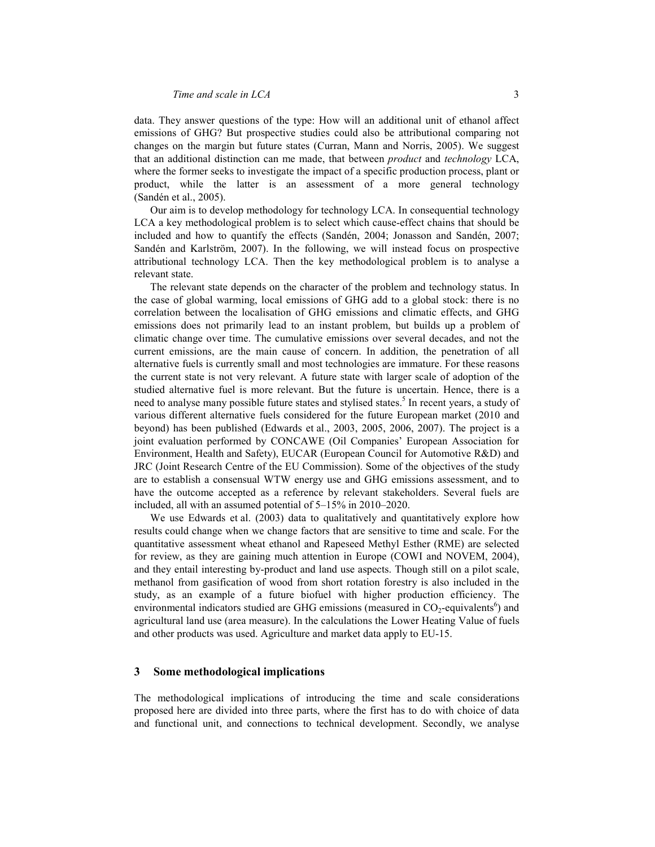data. They answer questions of the type: How will an additional unit of ethanol affect emissions of GHG? But prospective studies could also be attributional comparing not changes on the margin but future states (Curran, Mann and Norris, 2005). We suggest that an additional distinction can me made, that between *product* and *technology* LCA, where the former seeks to investigate the impact of a specific production process, plant or product, while the latter is an assessment of a more general technology (Sandén et al., 2005).

Our aim is to develop methodology for technology LCA. In consequential technology LCA a key methodological problem is to select which cause-effect chains that should be included and how to quantify the effects (Sandén, 2004; Jonasson and Sandén, 2007; Sandén and Karlström, 2007). In the following, we will instead focus on prospective attributional technology LCA. Then the key methodological problem is to analyse a relevant state.

The relevant state depends on the character of the problem and technology status. In the case of global warming, local emissions of GHG add to a global stock: there is no correlation between the localisation of GHG emissions and climatic effects, and GHG emissions does not primarily lead to an instant problem, but builds up a problem of climatic change over time. The cumulative emissions over several decades, and not the current emissions, are the main cause of concern. In addition, the penetration of all alternative fuels is currently small and most technologies are immature. For these reasons the current state is not very relevant. A future state with larger scale of adoption of the studied alternative fuel is more relevant. But the future is uncertain. Hence, there is a need to analyse many possible future states and stylised states.<sup>5</sup> In recent years, a study of various different alternative fuels considered for the future European market (2010 and beyond) has been published (Edwards et al., 2003, 2005, 2006, 2007). The project is a joint evaluation performed by CONCAWE (Oil Companies' European Association for Environment, Health and Safety), EUCAR (European Council for Automotive R&D) and JRC (Joint Research Centre of the EU Commission). Some of the objectives of the study are to establish a consensual WTW energy use and GHG emissions assessment, and to have the outcome accepted as a reference by relevant stakeholders. Several fuels are included, all with an assumed potential of 5–15% in 2010–2020.

We use Edwards et al. (2003) data to qualitatively and quantitatively explore how results could change when we change factors that are sensitive to time and scale. For the quantitative assessment wheat ethanol and Rapeseed Methyl Esther (RME) are selected for review, as they are gaining much attention in Europe (COWI and NOVEM, 2004), and they entail interesting by-product and land use aspects. Though still on a pilot scale, methanol from gasification of wood from short rotation forestry is also included in the study, as an example of a future biofuel with higher production efficiency. The environmental indicators studied are GHG emissions (measured in  $CO_2$ -equivalents<sup>6</sup>) and agricultural land use (area measure). In the calculations the Lower Heating Value of fuels and other products was used. Agriculture and market data apply to EU-15.

#### **3 Some methodological implications**

The methodological implications of introducing the time and scale considerations proposed here are divided into three parts, where the first has to do with choice of data and functional unit, and connections to technical development. Secondly, we analyse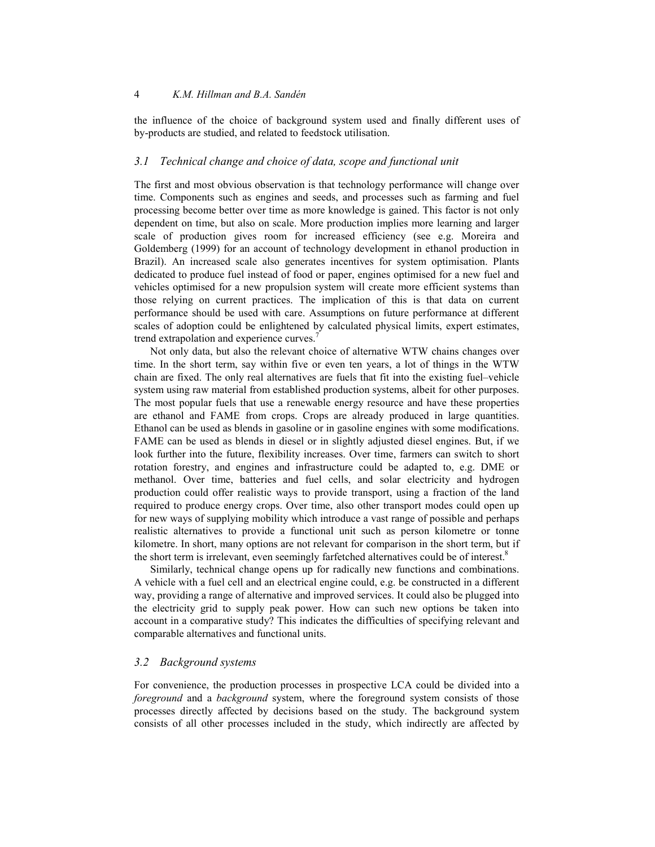the influence of the choice of background system used and finally different uses of by-products are studied, and related to feedstock utilisation.

## *3.1 Technical change and choice of data, scope and functional unit*

The first and most obvious observation is that technology performance will change over time. Components such as engines and seeds, and processes such as farming and fuel processing become better over time as more knowledge is gained. This factor is not only dependent on time, but also on scale. More production implies more learning and larger scale of production gives room for increased efficiency (see e.g. Moreira and Goldemberg (1999) for an account of technology development in ethanol production in Brazil). An increased scale also generates incentives for system optimisation. Plants dedicated to produce fuel instead of food or paper, engines optimised for a new fuel and vehicles optimised for a new propulsion system will create more efficient systems than those relying on current practices. The implication of this is that data on current performance should be used with care. Assumptions on future performance at different scales of adoption could be enlightened by calculated physical limits, expert estimates, trend extrapolation and experience curves.

Not only data, but also the relevant choice of alternative WTW chains changes over time. In the short term, say within five or even ten years, a lot of things in the WTW chain are fixed. The only real alternatives are fuels that fit into the existing fuel–vehicle system using raw material from established production systems, albeit for other purposes. The most popular fuels that use a renewable energy resource and have these properties are ethanol and FAME from crops. Crops are already produced in large quantities. Ethanol can be used as blends in gasoline or in gasoline engines with some modifications. FAME can be used as blends in diesel or in slightly adjusted diesel engines. But, if we look further into the future, flexibility increases. Over time, farmers can switch to short rotation forestry, and engines and infrastructure could be adapted to, e.g. DME or methanol. Over time, batteries and fuel cells, and solar electricity and hydrogen production could offer realistic ways to provide transport, using a fraction of the land required to produce energy crops. Over time, also other transport modes could open up for new ways of supplying mobility which introduce a vast range of possible and perhaps realistic alternatives to provide a functional unit such as person kilometre or tonne kilometre. In short, many options are not relevant for comparison in the short term, but if the short term is irrelevant, even seemingly farfetched alternatives could be of interest.<sup>8</sup>

Similarly, technical change opens up for radically new functions and combinations. A vehicle with a fuel cell and an electrical engine could, e.g. be constructed in a different way, providing a range of alternative and improved services. It could also be plugged into the electricity grid to supply peak power. How can such new options be taken into account in a comparative study? This indicates the difficulties of specifying relevant and comparable alternatives and functional units.

## *3.2 Background systems*

For convenience, the production processes in prospective LCA could be divided into a *foreground* and a *background* system, where the foreground system consists of those processes directly affected by decisions based on the study. The background system consists of all other processes included in the study, which indirectly are affected by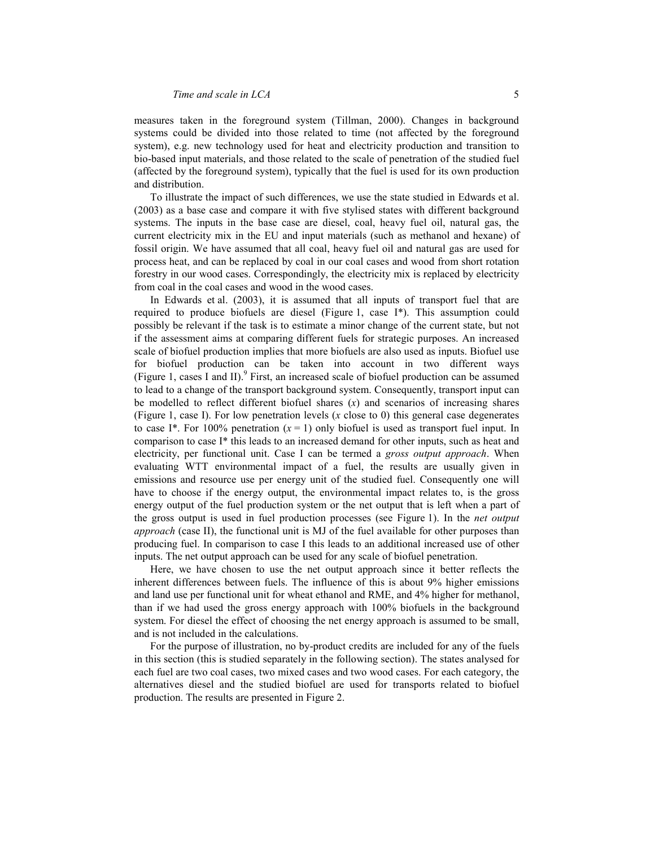measures taken in the foreground system (Tillman, 2000). Changes in background systems could be divided into those related to time (not affected by the foreground system), e.g. new technology used for heat and electricity production and transition to bio-based input materials, and those related to the scale of penetration of the studied fuel (affected by the foreground system), typically that the fuel is used for its own production and distribution.

To illustrate the impact of such differences, we use the state studied in Edwards et al. (2003) as a base case and compare it with five stylised states with different background systems. The inputs in the base case are diesel, coal, heavy fuel oil, natural gas, the current electricity mix in the EU and input materials (such as methanol and hexane) of fossil origin. We have assumed that all coal, heavy fuel oil and natural gas are used for process heat, and can be replaced by coal in our coal cases and wood from short rotation forestry in our wood cases. Correspondingly, the electricity mix is replaced by electricity from coal in the coal cases and wood in the wood cases.

In Edwards et al. (2003), it is assumed that all inputs of transport fuel that are required to produce biofuels are diesel (Figure 1, case I\*). This assumption could possibly be relevant if the task is to estimate a minor change of the current state, but not if the assessment aims at comparing different fuels for strategic purposes. An increased scale of biofuel production implies that more biofuels are also used as inputs. Biofuel use for biofuel production can be taken into account in two different ways (Figure 1, cases I and II). $9$  First, an increased scale of biofuel production can be assumed to lead to a change of the transport background system. Consequently, transport input can be modelled to reflect different biofuel shares (*x*) and scenarios of increasing shares (Figure 1, case I). For low penetration levels (*x* close to 0) this general case degenerates to case I<sup>\*</sup>. For 100% penetration  $(x = 1)$  only biofuel is used as transport fuel input. In comparison to case I\* this leads to an increased demand for other inputs, such as heat and electricity, per functional unit. Case I can be termed a *gross output approach*. When evaluating WTT environmental impact of a fuel, the results are usually given in emissions and resource use per energy unit of the studied fuel. Consequently one will have to choose if the energy output, the environmental impact relates to, is the gross energy output of the fuel production system or the net output that is left when a part of the gross output is used in fuel production processes (see Figure 1). In the *net output approach* (case II), the functional unit is MJ of the fuel available for other purposes than producing fuel. In comparison to case I this leads to an additional increased use of other inputs. The net output approach can be used for any scale of biofuel penetration.

Here, we have chosen to use the net output approach since it better reflects the inherent differences between fuels. The influence of this is about 9% higher emissions and land use per functional unit for wheat ethanol and RME, and 4% higher for methanol, than if we had used the gross energy approach with 100% biofuels in the background system. For diesel the effect of choosing the net energy approach is assumed to be small, and is not included in the calculations.

For the purpose of illustration, no by-product credits are included for any of the fuels in this section (this is studied separately in the following section). The states analysed for each fuel are two coal cases, two mixed cases and two wood cases. For each category, the alternatives diesel and the studied biofuel are used for transports related to biofuel production. The results are presented in Figure 2.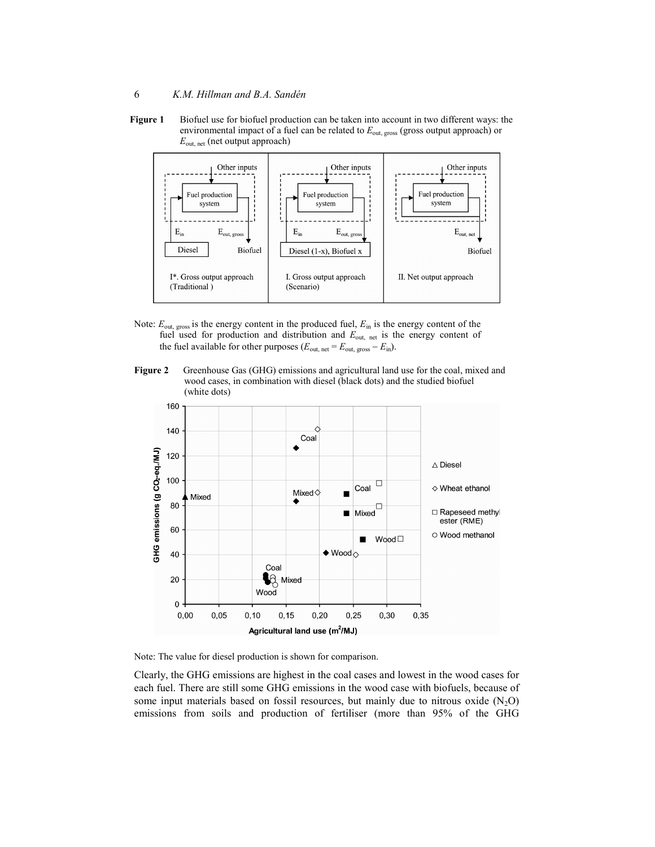**Figure 1** Biofuel use for biofuel production can be taken into account in two different ways: the environmental impact of a fuel can be related to  $E_{\text{out, gross}}$  (gross output approach) or *E*out, net (net output approach)



Note:  $E_{\text{out, gross}}$  is the energy content in the produced fuel,  $E_{\text{in}}$  is the energy content of the fuel used for production and distribution and  $E_{\text{out, net}}$  is the energy content of the fuel available for other purposes  $(E_{\text{out, net}} = E_{\text{out, gross}} - E_{\text{in}})$ .





Note: The value for diesel production is shown for comparison.

Clearly, the GHG emissions are highest in the coal cases and lowest in the wood cases for each fuel. There are still some GHG emissions in the wood case with biofuels, because of some input materials based on fossil resources, but mainly due to nitrous oxide  $(N_2O)$ emissions from soils and production of fertiliser (more than 95% of the GHG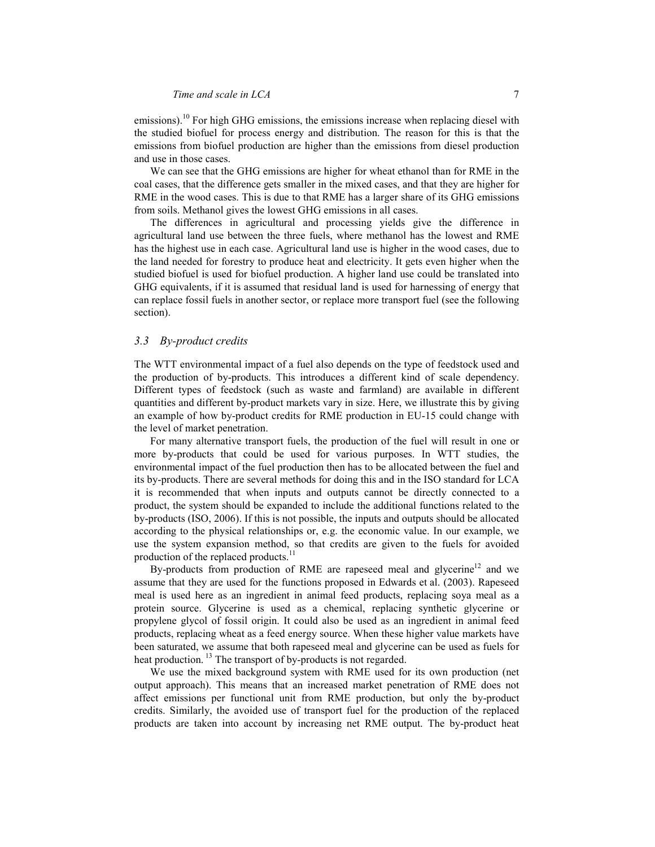emissions).<sup>10</sup> For high GHG emissions, the emissions increase when replacing diesel with the studied biofuel for process energy and distribution. The reason for this is that the emissions from biofuel production are higher than the emissions from diesel production and use in those cases.

We can see that the GHG emissions are higher for wheat ethanol than for RME in the coal cases, that the difference gets smaller in the mixed cases, and that they are higher for RME in the wood cases. This is due to that RME has a larger share of its GHG emissions from soils. Methanol gives the lowest GHG emissions in all cases.

The differences in agricultural and processing yields give the difference in agricultural land use between the three fuels, where methanol has the lowest and RME has the highest use in each case. Agricultural land use is higher in the wood cases, due to the land needed for forestry to produce heat and electricity. It gets even higher when the studied biofuel is used for biofuel production. A higher land use could be translated into GHG equivalents, if it is assumed that residual land is used for harnessing of energy that can replace fossil fuels in another sector, or replace more transport fuel (see the following section).

## *3.3 By-product credits*

The WTT environmental impact of a fuel also depends on the type of feedstock used and the production of by-products. This introduces a different kind of scale dependency. Different types of feedstock (such as waste and farmland) are available in different quantities and different by-product markets vary in size. Here, we illustrate this by giving an example of how by-product credits for RME production in EU-15 could change with the level of market penetration.

For many alternative transport fuels, the production of the fuel will result in one or more by-products that could be used for various purposes. In WTT studies, the environmental impact of the fuel production then has to be allocated between the fuel and its by-products. There are several methods for doing this and in the ISO standard for LCA it is recommended that when inputs and outputs cannot be directly connected to a product, the system should be expanded to include the additional functions related to the by-products (ISO, 2006). If this is not possible, the inputs and outputs should be allocated according to the physical relationships or, e.g. the economic value. In our example, we use the system expansion method, so that credits are given to the fuels for avoided production of the replaced products.<sup>11</sup>

By-products from production of RME are rapeseed meal and glycerine<sup>12</sup> and we assume that they are used for the functions proposed in Edwards et al. (2003). Rapeseed meal is used here as an ingredient in animal feed products, replacing soya meal as a protein source. Glycerine is used as a chemical, replacing synthetic glycerine or propylene glycol of fossil origin. It could also be used as an ingredient in animal feed products, replacing wheat as a feed energy source. When these higher value markets have been saturated, we assume that both rapeseed meal and glycerine can be used as fuels for heat production.<sup>13</sup> The transport of by-products is not regarded.

We use the mixed background system with RME used for its own production (net output approach). This means that an increased market penetration of RME does not affect emissions per functional unit from RME production, but only the by-product credits. Similarly, the avoided use of transport fuel for the production of the replaced products are taken into account by increasing net RME output. The by-product heat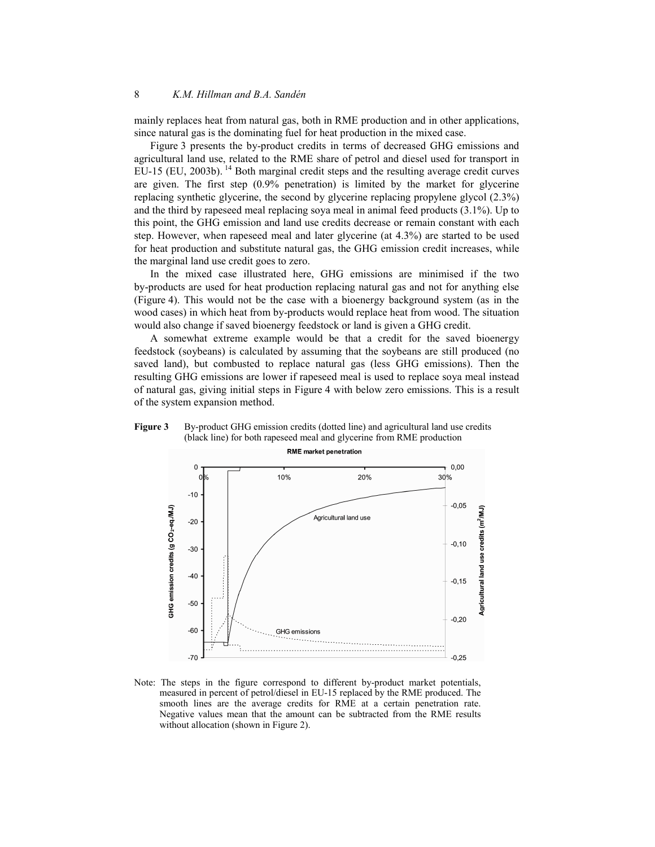mainly replaces heat from natural gas, both in RME production and in other applications, since natural gas is the dominating fuel for heat production in the mixed case.

Figure 3 presents the by-product credits in terms of decreased GHG emissions and agricultural land use, related to the RME share of petrol and diesel used for transport in EU-15 (EU, 2003b). 14 Both marginal credit steps and the resulting average credit curves are given. The first step (0.9% penetration) is limited by the market for glycerine replacing synthetic glycerine, the second by glycerine replacing propylene glycol (2.3%) and the third by rapeseed meal replacing soya meal in animal feed products (3.1%). Up to this point, the GHG emission and land use credits decrease or remain constant with each step. However, when rapeseed meal and later glycerine (at 4.3%) are started to be used for heat production and substitute natural gas, the GHG emission credit increases, while the marginal land use credit goes to zero.

In the mixed case illustrated here, GHG emissions are minimised if the two by-products are used for heat production replacing natural gas and not for anything else (Figure 4). This would not be the case with a bioenergy background system (as in the wood cases) in which heat from by-products would replace heat from wood. The situation would also change if saved bioenergy feedstock or land is given a GHG credit.

A somewhat extreme example would be that a credit for the saved bioenergy feedstock (soybeans) is calculated by assuming that the soybeans are still produced (no saved land), but combusted to replace natural gas (less GHG emissions). Then the resulting GHG emissions are lower if rapeseed meal is used to replace soya meal instead of natural gas, giving initial steps in Figure 4 with below zero emissions. This is a result of the system expansion method.





Note: The steps in the figure correspond to different by-product market potentials, measured in percent of petrol/diesel in EU-15 replaced by the RME produced. The smooth lines are the average credits for RME at a certain penetration rate. Negative values mean that the amount can be subtracted from the RME results without allocation (shown in Figure 2).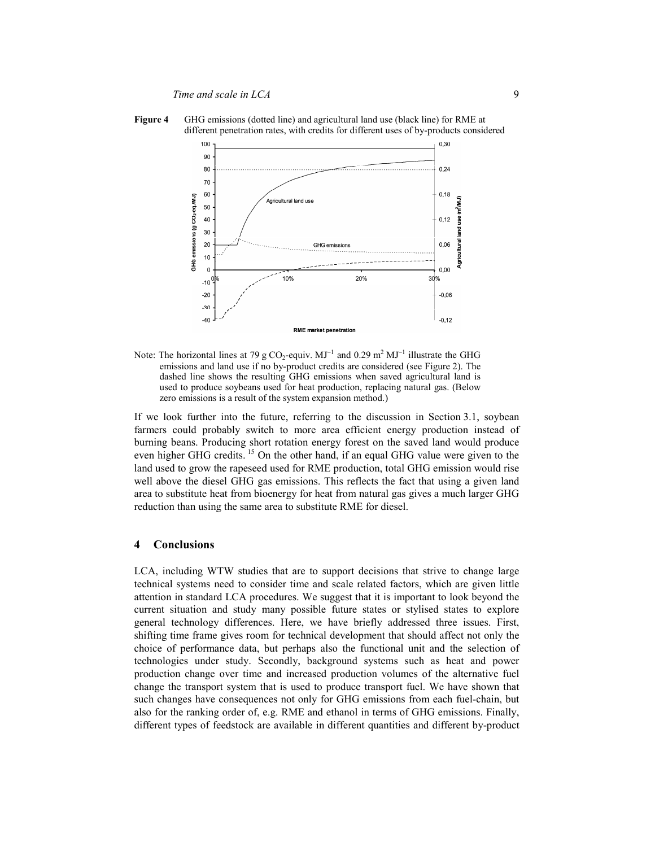

**Figure 4** GHG emissions (dotted line) and agricultural land use (black line) for RME at different penetration rates, with credits for different uses of by-products considered

Note: The horizontal lines at 79 g CO<sub>2</sub>-equiv.  $MJ^{-1}$  and 0.29 m<sup>2</sup>  $MJ^{-1}$  illustrate the GHG emissions and land use if no by-product credits are considered (see Figure 2). The dashed line shows the resulting GHG emissions when saved agricultural land is used to produce soybeans used for heat production, replacing natural gas. (Below zero emissions is a result of the system expansion method.)

If we look further into the future, referring to the discussion in Section 3.1, soybean farmers could probably switch to more area efficient energy production instead of burning beans. Producing short rotation energy forest on the saved land would produce even higher GHG credits. <sup>15</sup> On the other hand, if an equal GHG value were given to the land used to grow the rapeseed used for RME production, total GHG emission would rise well above the diesel GHG gas emissions. This reflects the fact that using a given land area to substitute heat from bioenergy for heat from natural gas gives a much larger GHG reduction than using the same area to substitute RME for diesel.

#### **4 Conclusions**

LCA, including WTW studies that are to support decisions that strive to change large technical systems need to consider time and scale related factors, which are given little attention in standard LCA procedures. We suggest that it is important to look beyond the current situation and study many possible future states or stylised states to explore general technology differences. Here, we have briefly addressed three issues. First, shifting time frame gives room for technical development that should affect not only the choice of performance data, but perhaps also the functional unit and the selection of technologies under study. Secondly, background systems such as heat and power production change over time and increased production volumes of the alternative fuel change the transport system that is used to produce transport fuel. We have shown that such changes have consequences not only for GHG emissions from each fuel-chain, but also for the ranking order of, e.g. RME and ethanol in terms of GHG emissions. Finally, different types of feedstock are available in different quantities and different by-product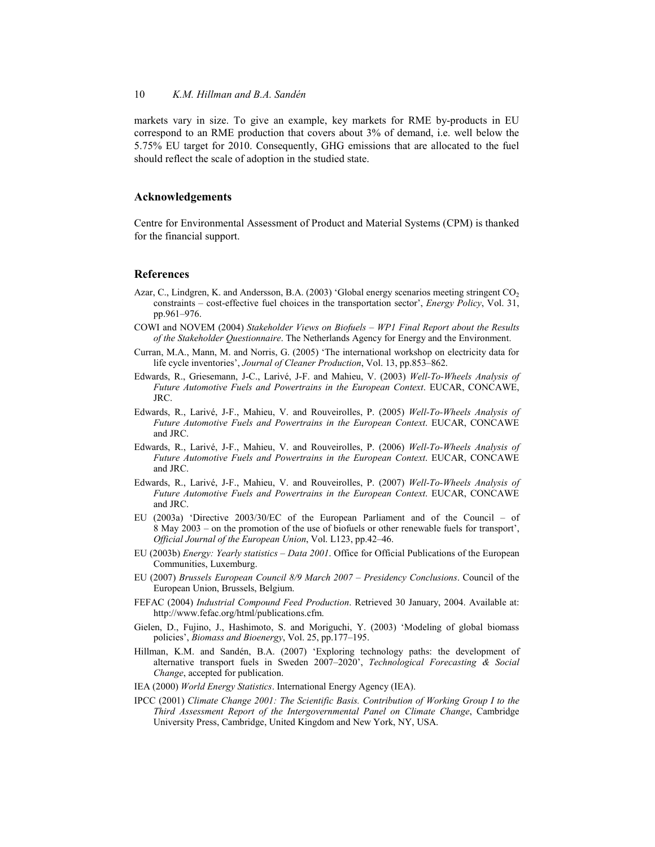markets vary in size. To give an example, key markets for RME by-products in EU correspond to an RME production that covers about 3% of demand, i.e. well below the 5.75% EU target for 2010. Consequently, GHG emissions that are allocated to the fuel should reflect the scale of adoption in the studied state.

## **Acknowledgements**

Centre for Environmental Assessment of Product and Material Systems (CPM) is thanked for the financial support.

#### **References**

- Azar, C., Lindgren, K. and Andersson, B.A. (2003) 'Global energy scenarios meeting stringent CO<sub>2</sub> constraints – cost-effective fuel choices in the transportation sector', *Energy Policy*, Vol. 31, pp.961–976.
- COWI and NOVEM (2004) *Stakeholder Views on Biofuels WP1 Final Report about the Results of the Stakeholder Questionnaire*. The Netherlands Agency for Energy and the Environment.
- Curran, M.A., Mann, M. and Norris, G. (2005) 'The international workshop on electricity data for life cycle inventories', *Journal of Cleaner Production*, Vol. 13, pp.853–862.
- Edwards, R., Griesemann, J-C., Larivé, J-F. and Mahieu, V. (2003) *Well-To-Wheels Analysis of Future Automotive Fuels and Powertrains in the European Context*. EUCAR, CONCAWE, JRC.
- Edwards, R., Larivé, J-F., Mahieu, V. and Rouveirolles, P. (2005) *Well-To-Wheels Analysis of Future Automotive Fuels and Powertrains in the European Context*. EUCAR, CONCAWE and JRC.
- Edwards, R., Larivé, J-F., Mahieu, V. and Rouveirolles, P. (2006) *Well-To-Wheels Analysis of Future Automotive Fuels and Powertrains in the European Context*. EUCAR, CONCAWE and JRC.
- Edwards, R., Larivé, J-F., Mahieu, V. and Rouveirolles, P. (2007) *Well-To-Wheels Analysis of Future Automotive Fuels and Powertrains in the European Context*. EUCAR, CONCAWE and JRC.
- EU (2003a) 'Directive 2003/30/EC of the European Parliament and of the Council of 8 May 2003 – on the promotion of the use of biofuels or other renewable fuels for transport', *Official Journal of the European Union*, Vol. L123, pp.42–46.
- EU (2003b) *Energy: Yearly statistics Data 2001*. Office for Official Publications of the European Communities, Luxemburg.
- EU (2007) *Brussels European Council 8/9 March 2007 Presidency Conclusions*. Council of the European Union, Brussels, Belgium.
- FEFAC (2004) *Industrial Compound Feed Production*. Retrieved 30 January, 2004. Available at: http://www.fefac.org/html/publications.cfm.
- Gielen, D., Fujino, J., Hashimoto, S. and Moriguchi, Y. (2003) 'Modeling of global biomass policies', *Biomass and Bioenergy*, Vol. 25, pp.177–195.
- Hillman, K.M. and Sandén, B.A. (2007) 'Exploring technology paths: the development of alternative transport fuels in Sweden 2007–2020', *Technological Forecasting & Social Change*, accepted for publication.
- IEA (2000) *World Energy Statistics*. International Energy Agency (IEA).
- IPCC (2001) *Climate Change 2001: The Scientific Basis. Contribution of Working Group I to the Third Assessment Report of the Intergovernmental Panel on Climate Change*, Cambridge University Press, Cambridge, United Kingdom and New York, NY, USA.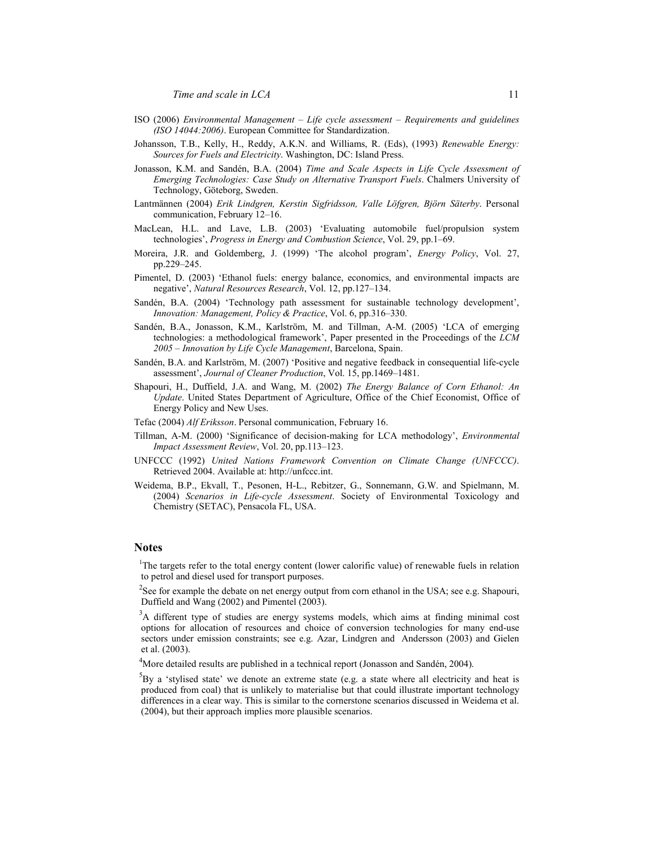- ISO (2006) *Environmental Management Life cycle assessment Requirements and guidelines (ISO 14044:2006)*. European Committee for Standardization.
- Johansson, T.B., Kelly, H., Reddy, A.K.N. and Williams, R. (Eds), (1993) *Renewable Energy: Sources for Fuels and Electricity*. Washington, DC: Island Press.
- Jonasson, K.M. and Sandén, B.A. (2004) *Time and Scale Aspects in Life Cycle Assessment of Emerging Technologies: Case Study on Alternative Transport Fuels*. Chalmers University of Technology, Göteborg, Sweden.
- Lantmännen (2004) *Erik Lindgren, Kerstin Sigfridsson, Valle Löfgren, Björn Säterby*. Personal communication, February 12–16.
- MacLean, H.L. and Lave, L.B. (2003) 'Evaluating automobile fuel/propulsion system technologies', *Progress in Energy and Combustion Science*, Vol. 29, pp.1–69.
- Moreira, J.R. and Goldemberg, J. (1999) 'The alcohol program', *Energy Policy*, Vol. 27, pp.229–245.
- Pimentel, D. (2003) 'Ethanol fuels: energy balance, economics, and environmental impacts are negative', *Natural Resources Research*, Vol. 12, pp.127–134.
- Sandén, B.A. (2004) 'Technology path assessment for sustainable technology development', *Innovation: Management, Policy & Practice*, Vol. 6, pp.316–330.
- Sandén, B.A., Jonasson, K.M., Karlström, M. and Tillman, A-M. (2005) 'LCA of emerging technologies: a methodological framework', Paper presented in the Proceedings of the *LCM 2005 – Innovation by Life Cycle Management*, Barcelona, Spain.
- Sandén, B.A. and Karlström, M. (2007) 'Positive and negative feedback in consequential life-cycle assessment', *Journal of Cleaner Production*, Vol. 15, pp.1469–1481.
- Shapouri, H., Duffield, J.A. and Wang, M. (2002) *The Energy Balance of Corn Ethanol: An Update*. United States Department of Agriculture, Office of the Chief Economist, Office of Energy Policy and New Uses.
- Tefac (2004) *Alf Eriksson*. Personal communication, February 16.
- Tillman, A-M. (2000) 'Significance of decision-making for LCA methodology', *Environmental Impact Assessment Review*, Vol. 20, pp.113–123.
- UNFCCC (1992) *United Nations Framework Convention on Climate Change (UNFCCC)*. Retrieved 2004. Available at: http://unfccc.int.
- Weidema, B.P., Ekvall, T., Pesonen, H-L., Rebitzer, G., Sonnemann, G.W. and Spielmann, M. (2004) *Scenarios in Life-cycle Assessment*. Society of Environmental Toxicology and Chemistry (SETAC), Pensacola FL, USA.

#### **Notes**

<sup>1</sup>The targets refer to the total energy content (lower calorific value) of renewable fuels in relation to petrol and diesel used for transport purposes.

<sup>2</sup>See for example the debate on net energy output from corn ethanol in the USA; see e.g. Shapouri, Duffield and Wang (2002) and Pimentel (2003).

<sup>3</sup>A different type of studies are energy systems models, which aims at finding minimal cost options for allocation of resources and choice of conversion technologies for many end-use sectors under emission constraints; see e.g. Azar, Lindgren and Andersson (2003) and Gielen et al. (2003).

 $<sup>4</sup>$ More detailed results are published in a technical report (Jonasson and Sandén, 2004).</sup>

 ${}^{5}$ By a 'stylised state' we denote an extreme state (e.g. a state where all electricity and heat is produced from coal) that is unlikely to materialise but that could illustrate important technology differences in a clear way. This is similar to the cornerstone scenarios discussed in Weidema et al. (2004), but their approach implies more plausible scenarios.